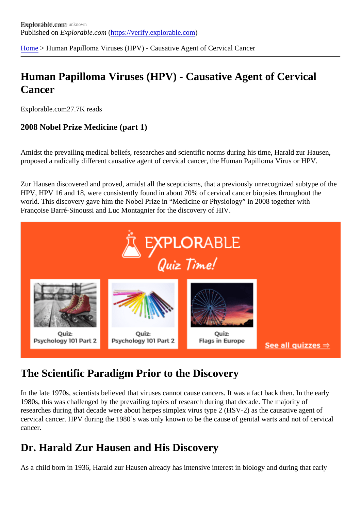[Home](https://verify.explorable.com/) > Human Papilloma Viruses (HPV) - Causative Agent of Cervical Cancer

# Human Papilloma Viruses (HPV) - Causative Agent of Cervical **Cancer**

Explorable.com27.7K reads

2008 Nobel Prize Medicine (part 1)

Amidst the prevailing medical beliefs, researches and scientific norms during his time, Harald zur Hausen, proposed a radically different causative agent of cervical cancer, the Human Papilloma Virus or HPV.

Zur Hausen discovered and proved, amidst all the scepticisms, that a previously unrecognized subtype of HPV, HPV 16 and 18, were consistently found in about 70% of cervical cancer biopsies throughout the world. This discovery gave him the Nobel Prize in "Medicine or Physiology" in 2008 together with Françoise Barré-Sinoussi and Luc Montagnier for the discovery of HIV.

## The Scientific Paradigm Prior to the Discovery

In the late 1970s, scientists believed that viruses cannot cause cancers. It was a fact back then. In the ear 1980s, this was challenged by the prevailing topics of research during that decade. The majority of researches during that decade were about herpes simplex virus type 2 (HSV-2) as the causative agent of cervical cancer. HPV during the 1980's was only known to be the cause of genital warts and not of cervical cancer.

#### Dr. Harald Zur Hausen and His Discovery

As a child born in 1936, Harald zur Hausen already has intensive interest in biology and during that early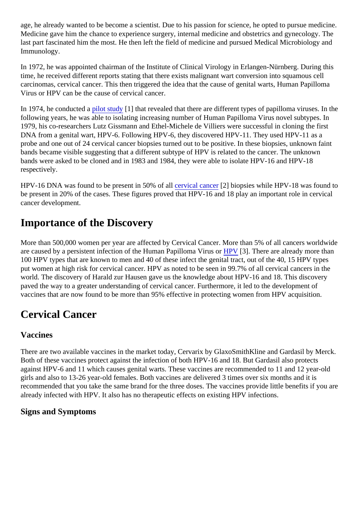age, he already wanted to be become a scientist. Due to his passion for science, he opted to pursue medi Medicine gave him the chance to experience surgery, internal medicine and obstetrics and gynecology. The last part fascinated him the most. He then left the field of medicine and pursued Medical Microbiology and Immunology.

In 1972, he was appointed chairman of the Institute of Clinical Virology in Erlangen-Nürnberg. During this time, he received different reports stating that there exists malignant wart conversion into squamous cell carcinomas, cervical cancer. This then triggered the idea that the cause of genital warts, Human Papilloma Virus or HPV can be the cause of cervical cancer.

In 1974, he conducted alot study[1] that revealed that there are different types of papilloma viruses. In the following years, he was able to isolating increasing number of Human Papilloma Virus novel subtypes. In 1979, his co-researchers Lutz Gissmann and Ethel-Michele de Villiers were successful in cloning the first DNA from a genital wart, HPV-6. Following HPV-6, they discovered HPV-11. They used HPV-11 as a probe and one out of 24 cervical cancer biopsies turned out to be positive. In these biopsies, unknown fair bands became visible suggesting that a different subtype of HPV is related to the cancer. The unknown bands were asked to be cloned and in 1983 and 1984, they were able to isolate HPV-16 and HPV-18 respectively.

HPV-16 DNA was found to be present in 50% of call vical cancer<sup>[2]</sup> biopsies while HPV-18 was found to be present in 20% of the cases. These figures proved that HPV-16 and 18 play an important role in cervical cancer development.

## Importance of the Discovery

More than 500,000 women per year are affected by Cervical Cancer. More than 5% of all cancers worldwiged at a are caused by a persistent infection of the Human Papilloma Virus 613]. There are already more than 100 HPV types that are known to men and 40 of these infect the genital tract, out of the 40, 15 HPV types put women at high risk for cervical cancer. HPV as noted to be seen in 99.7% of all cervical cancers in the world. The discovery of Harald zur Hausen gave us the knowledge about HPV-16 and 18. This discovery paved the way to a greater understanding of cervical cancer. Furthermore, it led to the development of vaccines that are now found to be more than 95% effective in protecting women from HPV acquisition.

## Cervical Cancer

#### Vaccines

There are two available vaccines in the market today, Cervarix by GlaxoSmithKline and Gardasil by Merck. Both of these vaccines protect against the infection of both HPV-16 and 18. But Gardasil also protects against HPV-6 and 11 which causes genital warts. These vaccines are recommended to 11 and 12 year-old girls and also to 13-26 year-old females. Both vaccines are delivered 3 times over six months and it is recommended that you take the same brand for the three doses. The vaccines provide little benefits if you already infected with HPV. It also has no therapeutic effects on existing HPV infections.

Signs and Symptoms